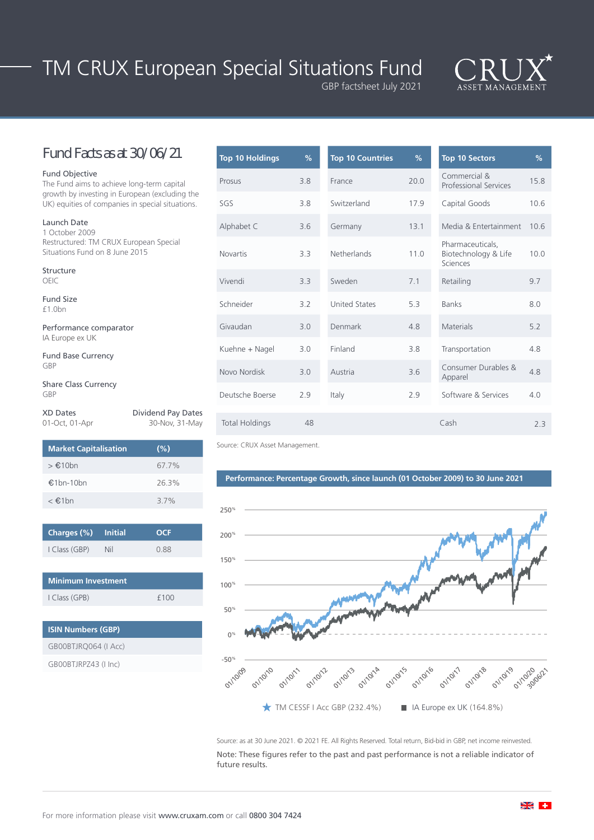# TM CRUX European Special Situations Fund GBP factsheet July 2021



### Fund Facts as at 30/06/21

#### Fund Objective

The Fund aims to achieve long-term capital growth by investing in European (excluding the UK) equities of companies in special situations.

Launch Date 1 October 2009 Restructured: TM CRUX European Special Situations Fund on 8 June 2015

Structure OEIC

Fund Size £1.0bn

Performance comparator IA Europe ex UK

Fund Base Currency GBP

Share Class Currency GBP

| <b>XD Dates</b> | <b>Dividend Pay Dates</b> |
|-----------------|---------------------------|
| 01-Oct, 01-Apr  | 30-Nov, 31-May            |

| <b>Market Capitalisation</b> | $(\% )$ |
|------------------------------|---------|
| > €10bn                      | 67.7%   |
| €1 $hn-10hn$                 | 26.3%   |
| $\epsilon \in 1$ hn          | 37%     |

| Charges (%) Initial |     | <b>OCF</b> |
|---------------------|-----|------------|
| I Class (GBP)       | Nil | 0.88       |

| <b>Minimum Investment</b> |      |
|---------------------------|------|
| I Class (GPB)             | f100 |

| <b>ISIN Numbers (GBP)</b> |
|---------------------------|
| GB00BTJRQ064 (I Acc)      |
| GB00BTJRPZ43 (I Inc)      |

| <b>Top 10 Holdings</b> | %   | <b>Top 10 Countries</b>                          | %                                                            | <b>Top 10 Sectors</b>                        |  |
|------------------------|-----|--------------------------------------------------|--------------------------------------------------------------|----------------------------------------------|--|
| Prosus                 | 3.8 | France                                           | 20.0                                                         | Commercial &<br><b>Professional Services</b> |  |
| SGS                    | 3.8 | Switzerland                                      | 17.9<br>Capital Goods                                        |                                              |  |
| Alphabet C             | 3.6 | Germany                                          | 13.1                                                         | Media & Entertainment                        |  |
| <b>Novartis</b>        | 3.3 | Netherlands                                      | Pharmaceuticals,<br>11.0<br>Biotechnology & Life<br>Sciences |                                              |  |
| Vivendi                | 3.3 | Sweden<br>7.1<br>Retailing                       |                                                              |                                              |  |
| Schneider              | 3.2 | <b>United States</b><br>5.3<br><b>Banks</b>      |                                                              |                                              |  |
| Givaudan               | 3.0 | Denmark                                          | 4.8                                                          | <b>Materials</b>                             |  |
| Kuehne + Nagel         | 3.0 | Finland                                          | 3.8                                                          | Transportation                               |  |
| Novo Nordisk           | 3.0 | Consumer Durables &<br>3.6<br>Austria<br>Apparel |                                                              |                                              |  |
| Deutsche Boerse        | 2.9 | Italy                                            | 2.9                                                          | Software & Services                          |  |
| <b>Total Holdings</b>  | 48  |                                                  |                                                              | Cash                                         |  |
|                        |     |                                                  |                                                              |                                              |  |

Source: CRUX Asset Management.

### **Performance: Percentage Growth, since launch (01 October 2009) to 30 June 2021**



Source: as at 30 June 2021. © 2021 FE. All Rights Reserved. Total return, Bid-bid in GBP, net income reinvested. Note: These figures refer to the past and past performance is not a reliable indicator of future results.